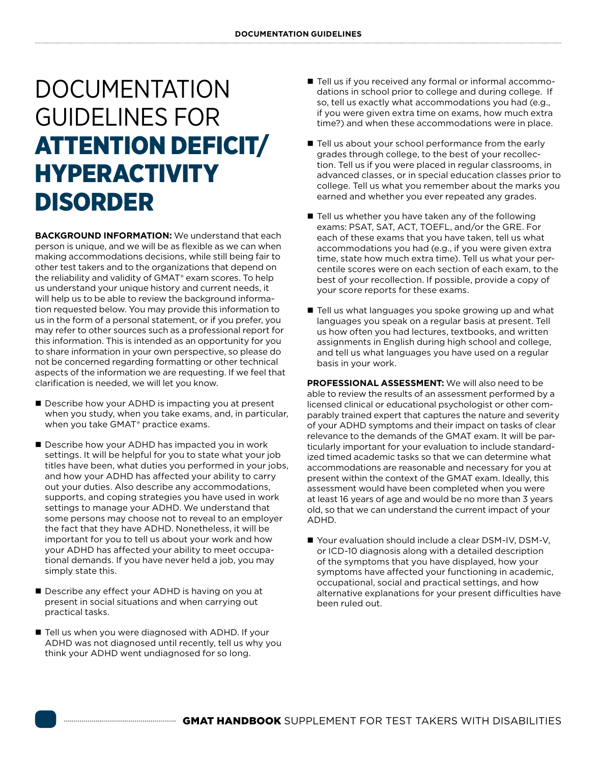## DOCUMENTATION GUIDELINES FOR ATTENTION DEFICIT/ HYPERACTIVITY DISORDER

**BACKGROUND INFORMATION:** We understand that each person is unique, and we will be as flexible as we can when making accommodations decisions, while still being fair to other test takers and to the organizations that depend on the reliability and validity of GMAT® exam scores. To help us understand your unique history and current needs, it will help us to be able to review the background information requested below. You may provide this information to us in the form of a personal statement, or if you prefer, you may refer to other sources such as a professional report for this information. This is intended as an opportunity for you to share information in your own perspective, so please do not be concerned regarding formatting or other technical aspects of the information we are requesting. If we feel that clarification is needed, we will let you know.

- Describe how your ADHD is impacting you at present when you study, when you take exams, and, in particular, when you take GMAT® practice exams.
- Describe how your ADHD has impacted you in work settings. It will be helpful for you to state what your job titles have been, what duties you performed in your jobs, and how your ADHD has affected your ability to carry out your duties. Also describe any accommodations, supports, and coping strategies you have used in work settings to manage your ADHD. We understand that some persons may choose not to reveal to an employer the fact that they have ADHD. Nonetheless, it will be important for you to tell us about your work and how your ADHD has affected your ability to meet occupational demands. If you have never held a job, you may simply state this.
- Describe any effect your ADHD is having on you at present in social situations and when carrying out practical tasks.
- Tell us when you were diagnosed with ADHD. If your ADHD was not diagnosed until recently, tell us why you think your ADHD went undiagnosed for so long.
- Tell us if you received any formal or informal accommodations in school prior to college and during college. If so, tell us exactly what accommodations you had (e.g., if you were given extra time on exams, how much extra time?) and when these accommodations were in place.
- Tell us about your school performance from the early grades through college, to the best of your recollection. Tell us if you were placed in regular classrooms, in advanced classes, or in special education classes prior to college. Tell us what you remember about the marks you earned and whether you ever repeated any grades.
- Tell us whether you have taken any of the following exams: PSAT, SAT, ACT, TOEFL, and/or the GRE. For each of these exams that you have taken, tell us what accommodations you had (e.g., if you were given extra time, state how much extra time). Tell us what your percentile scores were on each section of each exam, to the best of your recollection. If possible, provide a copy of your score reports for these exams.
- $\blacksquare$  Tell us what languages you spoke growing up and what languages you speak on a regular basis at present. Tell us how often you had lectures, textbooks, and written assignments in English during high school and college, and tell us what languages you have used on a regular basis in your work.

**PROFESSIONAL ASSESSMENT:** We will also need to be able to review the results of an assessment performed by a licensed clinical or educational psychologist or other comparably trained expert that captures the nature and severity of your ADHD symptoms and their impact on tasks of clear relevance to the demands of the GMAT exam. It will be particularly important for your evaluation to include standardized timed academic tasks so that we can determine what accommodations are reasonable and necessary for you at present within the context of the GMAT exam. Ideally, this assessment would have been completed when you were at least 16 years of age and would be no more than 3 years old, so that we can understand the current impact of your ADHD.

■ Your evaluation should include a clear DSM-IV, DSM-V, or ICD-10 diagnosis along with a detailed description of the symptoms that you have displayed, how your symptoms have affected your functioning in academic, occupational, social and practical settings, and how alternative explanations for your present difficulties have been ruled out.